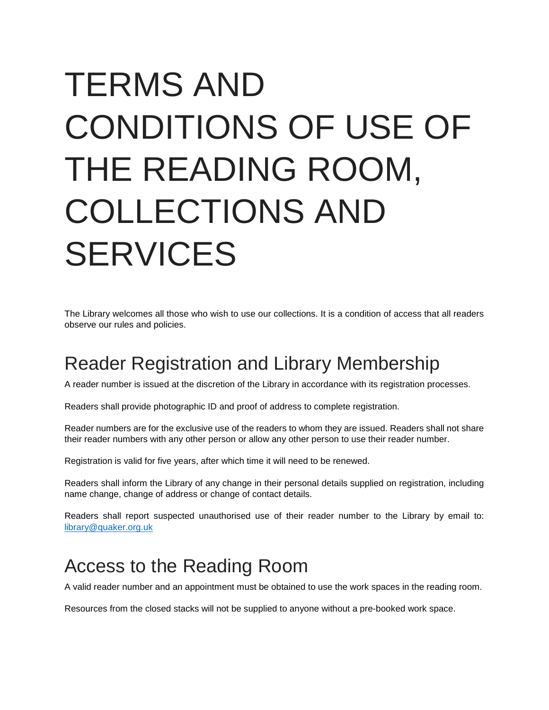# TERMS AND CONDITIONS OF USE OF THE READING ROOM, COLLECTIONS AND SERVICES

The Library welcomes all those who wish to use our collections. It is a condition of access that all readers observe our rules and policies.

## Reader Registration and Library Membership

A reader number is issued at the discretion of the Library in accordance with its registration processes.

Readers shall provide photographic ID and proof of address to complete registration.

Reader numbers are for the exclusive use of the readers to whom they are issued. Readers shall not share their reader numbers with any other person or allow any other person to use their reader number.

Registration is valid for five years, after which time it will need to be renewed.

Readers shall inform the Library of any change in their personal details supplied on registration, including name change, change of address or change of contact details.

Readers shall report suspected unauthorised use of their reader number to the Library by email to: [library@quaker.org.uk](mailto:library@quaker.org.uk)

#### Access to the Reading Room

A valid reader number and an appointment must be obtained to use the work spaces in the reading room.

Resources from the closed stacks will not be supplied to anyone without a pre-booked work space.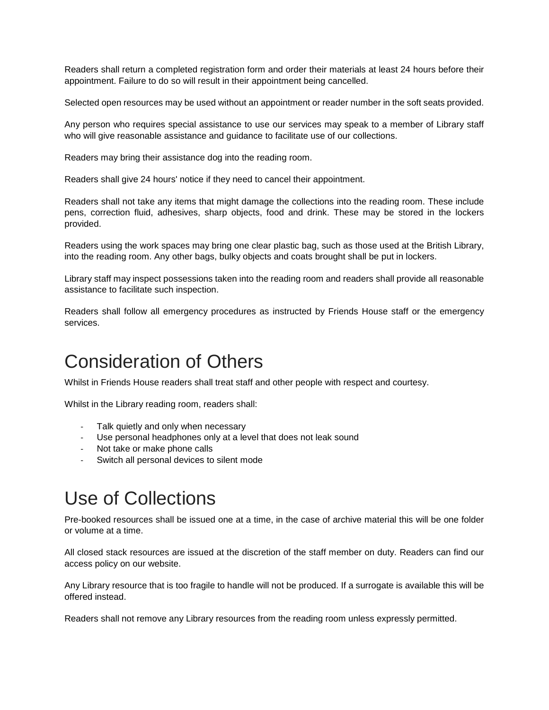Readers shall return a completed registration form and order their materials at least 24 hours before their appointment. Failure to do so will result in their appointment being cancelled.

Selected open resources may be used without an appointment or reader number in the soft seats provided.

Any person who requires special assistance to use our services may speak to a member of Library staff who will give reasonable assistance and guidance to facilitate use of our collections.

Readers may bring their assistance dog into the reading room.

Readers shall give 24 hours' notice if they need to cancel their appointment.

Readers shall not take any items that might damage the collections into the reading room. These include pens, correction fluid, adhesives, sharp objects, food and drink. These may be stored in the lockers provided.

Readers using the work spaces may bring one clear plastic bag, such as those used at the British Library, into the reading room. Any other bags, bulky objects and coats brought shall be put in lockers.

Library staff may inspect possessions taken into the reading room and readers shall provide all reasonable assistance to facilitate such inspection.

Readers shall follow all emergency procedures as instructed by Friends House staff or the emergency services.

## Consideration of Others

Whilst in Friends House readers shall treat staff and other people with respect and courtesy.

Whilst in the Library reading room, readers shall:

- Talk quietly and only when necessary
- Use personal headphones only at a level that does not leak sound
- Not take or make phone calls
- Switch all personal devices to silent mode

## Use of Collections

Pre-booked resources shall be issued one at a time, in the case of archive material this will be one folder or volume at a time.

All closed stack resources are issued at the discretion of the staff member on duty. Readers can find our access policy on our website.

Any Library resource that is too fragile to handle will not be produced. If a surrogate is available this will be offered instead.

Readers shall not remove any Library resources from the reading room unless expressly permitted.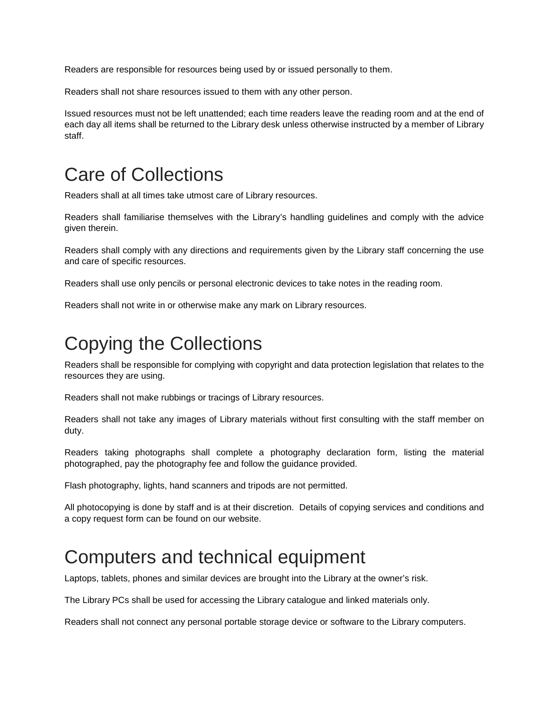Readers are responsible for resources being used by or issued personally to them.

Readers shall not share resources issued to them with any other person.

Issued resources must not be left unattended; each time readers leave the reading room and at the end of each day all items shall be returned to the Library desk unless otherwise instructed by a member of Library staff.

## Care of Collections

Readers shall at all times take utmost care of Library resources.

Readers shall familiarise themselves with the Library's handling guidelines and comply with the advice given therein.

Readers shall comply with any directions and requirements given by the Library staff concerning the use and care of specific resources.

Readers shall use only pencils or personal electronic devices to take notes in the reading room.

Readers shall not write in or otherwise make any mark on Library resources.

## Copying the Collections

Readers shall be responsible for complying with copyright and data protection legislation that relates to the resources they are using.

Readers shall not make rubbings or tracings of Library resources.

Readers shall not take any images of Library materials without first consulting with the staff member on duty.

Readers taking photographs shall complete a photography declaration form, listing the material photographed, pay the photography fee and follow the guidance provided.

Flash photography, lights, hand scanners and tripods are not permitted.

All photocopying is done by staff and is at their discretion. Details of copying services and conditions and a copy request form can be found on our website.

#### Computers and technical equipment

Laptops, tablets, phones and similar devices are brought into the Library at the owner's risk.

The Library PCs shall be used for accessing the Library catalogue and linked materials only.

Readers shall not connect any personal portable storage device or software to the Library computers.